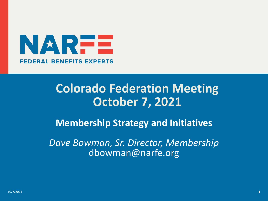

#### **Colorado Federation Meeting October 7, 2021**

**Membership Strategy and Initiatives**

*Dave Bowman, Sr. Director, Membership* dbowman@narfe.org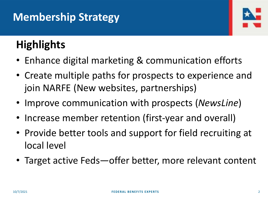#### **Membership Strategy**



### **Highlights**

- Enhance digital marketing & communication efforts
- Create multiple paths for prospects to experience and join NARFE (New websites, partnerships)
- Improve communication with prospects (*NewsLine*)
- Increase member retention (first-year and overall)
- Provide better tools and support for field recruiting at local level
- Target active Feds—offer better, more relevant content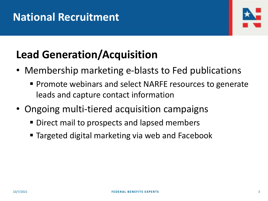#### **National Recruitment**



## **Lead Generation/Acquisition**

- Membership marketing e-blasts to Fed publications
	- Promote webinars and select NARFE resources to generate leads and capture contact information
- Ongoing multi-tiered acquisition campaigns
	- Direct mail to prospects and lapsed members
	- **Example Targeted digital marketing via web and Facebook**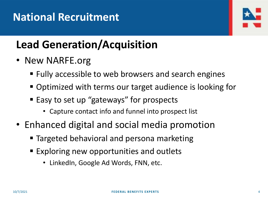

## **Lead Generation/Acquisition**

- New NARFE.org
	- Fully accessible to web browsers and search engines
	- Optimized with terms our target audience is looking for
	- Easy to set up "gateways" for prospects
		- Capture contact info and funnel into prospect list
- Enhanced digital and social media promotion
	- Targeted behavioral and persona marketing
	- Exploring new opportunities and outlets
		- LinkedIn, Google Ad Words, FNN, etc.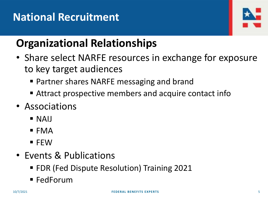#### **National Recruitment**



### **Organizational Relationships**

- Share select NARFE resources in exchange for exposure to key target audiences
	- Partner shares NARFE messaging and brand
	- Attract prospective members and acquire contact info
- Associations
	- $\blacksquare$  NAIJ
	- $\blacksquare$  FMA
	- $\blacksquare$  FEW
- Events & Publications
	- FDR (Fed Dispute Resolution) Training 2021
	- $\blacksquare$  FedForum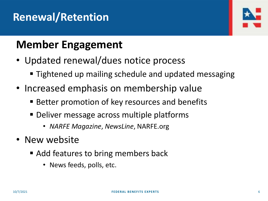#### **Renewal/Retention**



#### **Member Engagement**

- Updated renewal/dues notice process
	- Tightened up mailing schedule and updated messaging
- Increased emphasis on membership value
	- Better promotion of key resources and benefits
	- **Deliver message across multiple platforms** 
		- *NARFE Magazine*, *NewsLine*, NARFE.org
- New website
	- Add features to bring members back
		- News feeds, polls, etc.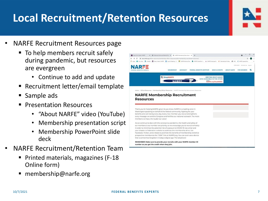#### **Local Recruitment/Retention Resources**

- NARFE Recruitment Resources page
	- To help members recruit safely during pandemic, but resources are evergreen
		- Continue to add and update
	- Recruitment letter/email template
	- Sample ads
	- **<u>■ Presentation Resources</u>** 
		- "About NARFE" video (YouTube)
		- Membership presentation script
		- Membership PowerPoint slide deck
- NARFE Recruitment/Retention Team
	- Printed materials, magazines (F-18 Online form)
	- membership@narfe.org

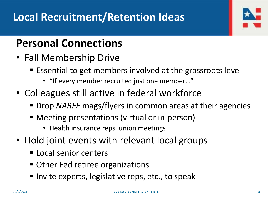#### **Personal Connections**

- Fall Membership Drive
	- Essential to get members involved at the grassroots level
		- "If every member recruited just one member…"
- Colleagues still active in federal workforce
	- Drop *NARFE* mags/flyers in common areas at their agencies
	- Meeting presentations (virtual or in-person)
		- Health insurance reps, union meetings
- Hold joint events with relevant local groups
	- **E** Local senior centers
	- Other Fed retiree organizations
	- Invite experts, legislative reps, etc., to speak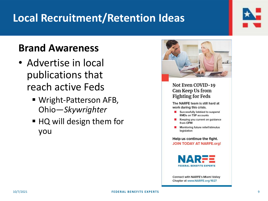#### **Local Recruitment/Retention Ideas**

#### **Brand Awareness**

- Advertise in local publications that reach active Feds
	- Wright-Patterson AFB, Ohio—*Skywrighter*
	- HQ will design them for you



#### Not Even COVID-19 Can Keep Us from **Fighting for Feds**

The NARFE team is still hard at work during this crisis.

- Successfully lobbied to suspend RMDs on TSP accounts
- Keeping you current on guidance from OPM
- Monitoring future relief/stimulus legislation

Help us continue the fight. **JOIN TODAY AT NARFE.org!** 



**Connect with NARFE's Miami Valley** Chapter at www.NARFE.org/1927

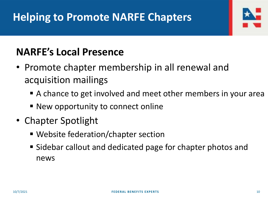#### **NARFE's Local Presence**

- Promote chapter membership in all renewal and acquisition mailings
	- A chance to get involved and meet other members in your area
	- New opportunity to connect online
- Chapter Spotlight
	- Website federation/chapter section
	- Sidebar callout and dedicated page for chapter photos and news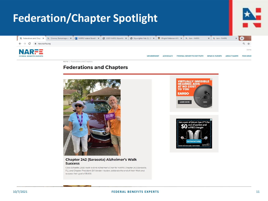

Home | Federations and Chapters

#### **Federations and Chapters**







**Chapter 242 (Sarasota) Alzheimer's Walk Success** 

Clara Schaefer, 2020 Walk to End Alzheimer's Chair for NARFE Chapter 242 (Sarasota, FL), and Chapter President Bill Vander Heyden, celebrate the end of their Walk and surpass their goal of \$1,000.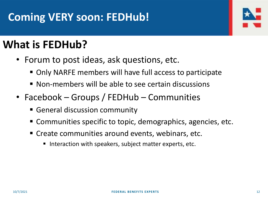#### **Coming VERY soon: FEDHub!**



#### **What is FEDHub?**

- Forum to post ideas, ask questions, etc.
	- Only NARFE members will have full access to participate
	- Non-members will be able to see certain discussions
- Facebook Groups / FEDHub Communities
	- **E** General discussion community
	- Communities specific to topic, demographics, agencies, etc.
	- Create communities around events, webinars, etc.
		- Interaction with speakers, subject matter experts, etc.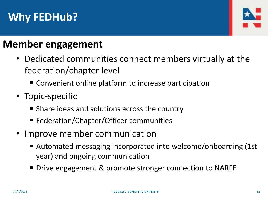#### **Why FEDHub?**



#### **Member engagement**

- Dedicated communities connect members virtually at the federation/chapter level
	- Convenient online platform to increase participation
- Topic-specific
	- Share ideas and solutions across the country
	- Federation/Chapter/Officer communities
- Improve member communication
	- Automated messaging incorporated into welcome/onboarding (1st year) and ongoing communication
	- Drive engagement & promote stronger connection to NARFE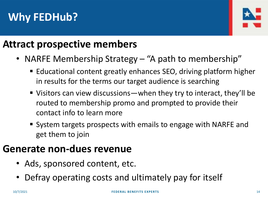#### **Why FEDHub?**



#### **Attract prospective members**

- NARFE Membership Strategy "A path to membership"
	- Educational content greatly enhances SEO, driving platform higher in results for the terms our target audience is searching
	- Visitors can view discussions—when they try to interact, they'll be routed to membership promo and prompted to provide their contact info to learn more
	- System targets prospects with emails to engage with NARFE and get them to join

#### **Generate non-dues revenue**

- Ads, sponsored content, etc.
- Defray operating costs and ultimately pay for itself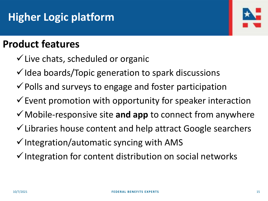#### **Higher Logic platform**



#### **Product features**

- $\checkmark$  Live chats, scheduled or organic
- $\checkmark$  Idea boards/Topic generation to spark discussions
- $\checkmark$  Polls and surveys to engage and foster participation
- $\checkmark$  Event promotion with opportunity for speaker interaction
- ✓Mobile-responsive site **and app** to connect from anywhere
- ✓Libraries house content and help attract Google searchers
- $\checkmark$  Integration/automatic syncing with AMS
- ✓Integration for content distribution on social networks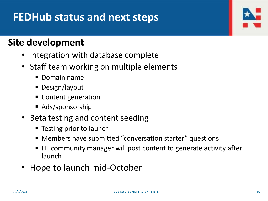#### **FEDHub status and next steps**

#### **Site development**

- Integration with database complete
- Staff team working on multiple elements
	- Domain name
	- Design/layout
	- Content generation
	- Ads/sponsorship
- Beta testing and content seeding
	- Testing prior to launch
	- Members have submitted "conversation starter" questions
	- HL community manager will post content to generate activity after launch
- Hope to launch mid-October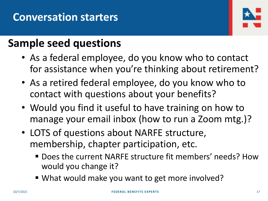

#### **Sample seed questions**

- As a federal employee, do you know who to contact for assistance when you're thinking about retirement?
- As a retired federal employee, do you know who to contact with questions about your benefits?
- Would you find it useful to have training on how to manage your email inbox (how to run a Zoom mtg.)?
- LOTS of questions about NARFE structure, membership, chapter participation, etc.
	- Does the current NARFE structure fit members' needs? How would you change it?
	- What would make you want to get more involved?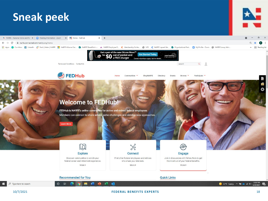

#### 10/7/2021 **FEDERAL BENEFITS EXPERTS** 18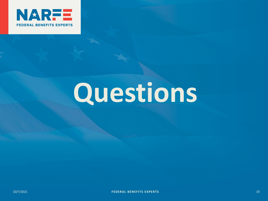

## **Questions**